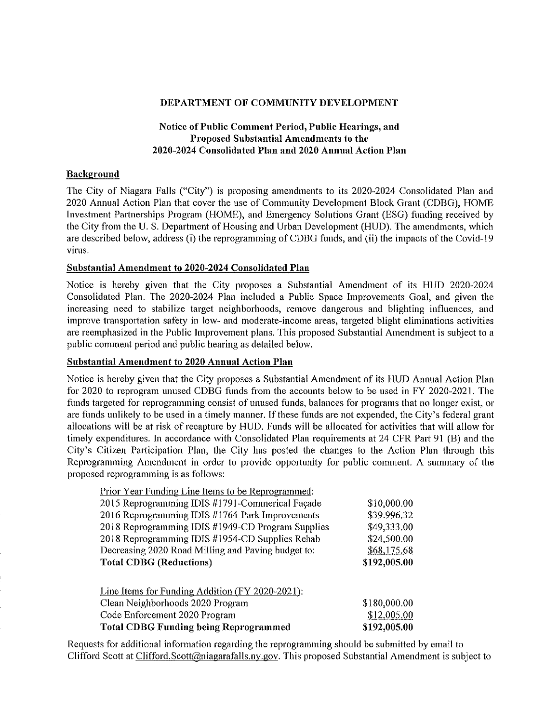#### DEPARTMENT OF COMMUNITY DEVELOPMENT

# Notice of Public Comment Period, Public Hearings, and Proposed Substantial Amendments to the 2020-2024 Consolidated Plan and 2020 Annual Action Plan

## **Background**

The City of Niagara Falls ("City") is proposing amendments to its 2020-2024 Consolidated Plan and 2020 Annual Action Plan that cover the use of Community Development Block Grant (CDBG), HOME Investment Partnerships Program (HOME), and Emergency Solutions Grant (ESG) funding received by the City from the U. S. Department of Housing and Urban Development (HUD). The amendments, which are described below, address (i) the reprogramming ofCDBG funds, and (ii) the impacts of the Covid-19 virus.

#### Substantial Amendment to 2020-2024 Consolidated Plan

Notice is hereby given that the City proposes a Substantial Amendment of Its HUD 2020-2024 Consolidated Plan. The 2020-2024 Plan included a Public Space Improvements Goal, and given the increasing need to stabilize target neighborhoods, remove dangerous and blighting influences, and improve transportation safety in low- and moderate-income areas, targeted blight eliminations activities are reemphasized in the Public Improvement plans. This proposed Substantial Amendment is subject to a public comment period and public hearing as detailed below.

#### Substantial Amendment to 2020 Annual Action Plan

Notice is hereby given that the City proposes a Substantial Amendment of its HUD Annual Action Plan for 2020 to reprogram unused CDBG funds from the accounts below to be used in FY 2020-2021. The funds targeted for reprogramming consist of unused funds, balances for programs that no longer exist, or are funds unlikely to be used in a timely manner. If these funds are not expended, the City's federal grant allocations will be at risk of recapture by HUD. Funds will be allocated for activities that will allow for timely expenditures. In accordance with Consolidated Plan requirements at 24 CFR Part 91 (B) and the City's Citizen Participation Plan, the City has posted the changes to the Action Plan through this Reprogramming Amendment in order to provide opportunity for public comment. A summary of the proposed reprogramming is as follows:

| Prior Year Funding Line Items to be Reprogrammed:  |              |
|----------------------------------------------------|--------------|
| 2015 Reprogramming IDIS #1791-Commerical Façade    | \$10,000.00  |
| 2016 Reprogramming IDIS #1764-Park Improvements    | \$39.996.32  |
| 2018 Reprogramming IDIS #1949-CD Program Supplies  | \$49,333.00  |
| 2018 Reprogramming IDIS #1954-CD Supplies Rehab    | \$24,500.00  |
| Decreasing 2020 Road Milling and Paving budget to: | \$68,175.68  |
| <b>Total CDBG (Reductions)</b>                     | \$192,005.00 |
|                                                    |              |
| Line Items for Funding Addition (FY 2020-2021):    |              |
| Clean Neighborhoods 2020 Program                   | \$180,000.00 |
| Code Enforcement 2020 Program                      | \$12,005.00  |
| <b>Total CDBG Funding being Reprogrammed</b>       | \$192,005.00 |

Requests for additional information regarding the reprogramming should be submitted by email to Clifford Scott at Clifford. Scott@niagarafalls.ny.gov. This proposed Substantial Amendment is subject to